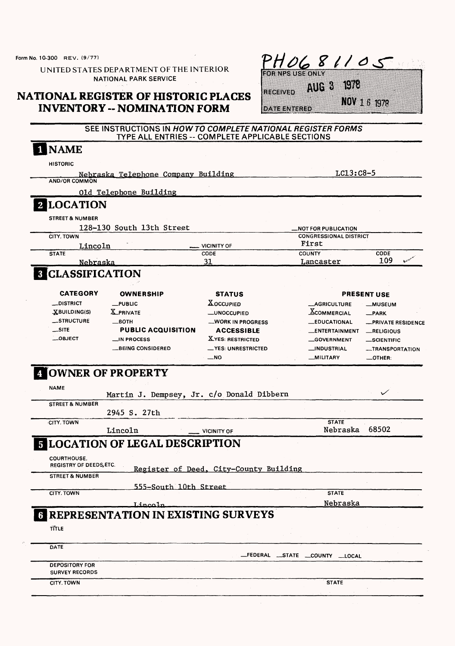Form No. 10-300 REV. (9/77)

UNITED STATES DEPARTMENT OF THE INTERIOR NATIONAL PARK SERVICE

## **NATIONAL REGISTER OF HISTORIC PLACES INVENTORY - NOMINATION FORM**

|     | $H$ UL |  |  |  |  |  |  |
|-----|--------|--|--|--|--|--|--|
| . . |        |  |  |  |  |  |  |

AUG 3 1978 RECEIVED

NOV 1 6 1979

DATE ENTERED

## SEE INSTRUCTIONS IN HOWTO COMPLETE NATIONAL REGISTER FORMS TYPE ALL ENTRIES -- COMPLETE APPLICABLE SECTIONS

| <b>AND/OR COMMON</b>                                 |                                                           |                                        | $LC13:C8-5$                   |                           |
|------------------------------------------------------|-----------------------------------------------------------|----------------------------------------|-------------------------------|---------------------------|
|                                                      | Nebraska Telephone Company Building                       |                                        |                               |                           |
|                                                      | Old Telephone Building                                    |                                        |                               |                           |
| 2 LOCATION                                           |                                                           |                                        |                               |                           |
| <b>STREET &amp; NUMBER</b>                           |                                                           |                                        |                               |                           |
|                                                      | 128-130 South 13th Street                                 |                                        | <b>_NOT FOR PUBLICATION</b>   |                           |
| CITY, TOWN                                           |                                                           |                                        | <b>CONGRESSIONAL DISTRICT</b> |                           |
| Lincoln                                              |                                                           | VICINITY OF<br>CODE                    | First<br><b>COUNTY</b>        | CODE                      |
| <b>STATE</b><br>Nebraska                             |                                                           | 31                                     | Lancaster                     | 109                       |
| <b>8 CLASSIFICATION</b>                              |                                                           |                                        |                               |                           |
|                                                      |                                                           |                                        |                               |                           |
| <b>CATEGORY</b>                                      | <b>OWNERSHIP</b>                                          | <b>STATUS</b>                          |                               | <b>PRESENT USE</b>        |
| <b>__DISTRICT</b>                                    | $_{\text{L}}$ PUBLIC                                      | <b>XOCCUPIED</b>                       | <b>_AGRICULTURE</b>           | <b>__MUSEUM</b>           |
| XBUILDING(S)                                         | <b>X</b> PRIVATE                                          | <b>__UNOCCUPIED</b>                    | <b>XCOMMERCIAL</b>            | $-$ PARK                  |
| _STRUCTURE                                           | —вотн                                                     | <b>WORK IN PROGRESS</b>                | <b>__EDUCATIONAL</b>          | <b>_PRIVATE RESIDENCE</b> |
| $\overline{\phantom{a}}$ site                        | <b>PUBLIC ACQUISITION</b>                                 | <b>ACCESSIBLE</b>                      | __ENTERTAINMENT               | RELIGIOUS                 |
| $\_$ OBJECT                                          | __IN PROCESS                                              | <b>XYES: RESTRICTED</b>                | <b>__GOVERNMENT</b>           | <b>SCIENTIFIC</b>         |
|                                                      | <b>_BEING CONSIDERED</b>                                  | <b>⊥YES: UNRESTRICTED</b>              | __INDUSTRIAL                  | <b>__TRANSPORTATION</b>   |
|                                                      |                                                           | $-NO$                                  | __MILITARY                    | $-$ OTHER:                |
| <b>STREET &amp; NUMBER</b>                           | Martin J. Dempsey, Jr. c/o Donald Dibbern<br>2945 S. 27th |                                        |                               |                           |
| <b>CITY, TOWN</b>                                    |                                                           |                                        | <b>STATE</b>                  |                           |
|                                                      | Lincoln                                                   | <b>VICINITY OF</b>                     | Nebraska                      | 68502                     |
|                                                      | <b>5 LOCATION OF LEGAL DESCRIPTION</b>                    |                                        |                               |                           |
|                                                      |                                                           |                                        |                               |                           |
| <b>COURTHOUSE.</b><br><b>REGISTRY OF DEEDS, ETC.</b> |                                                           |                                        |                               |                           |
| <b>STREET &amp; NUMBER</b>                           |                                                           | Register of Deed, City-County Building |                               |                           |
|                                                      |                                                           |                                        |                               |                           |
| <b>CITY, TOWN</b>                                    | 555-South 10th Street                                     |                                        | <b>STATE</b>                  |                           |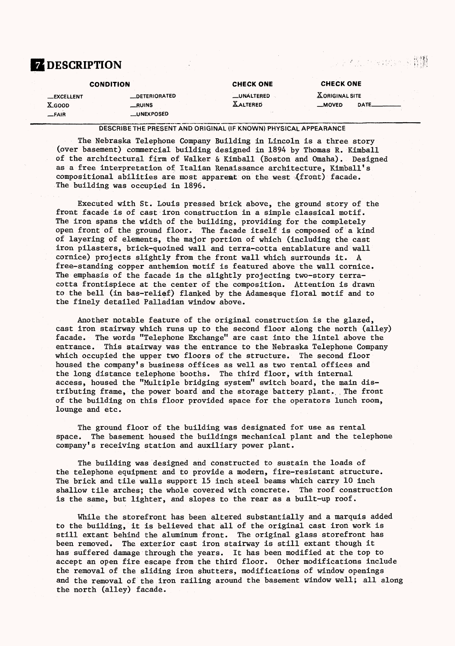# **Z DESCRIPTION**

2.2%或用增减的过去程器

|                    | <b>CONDITION</b>      | <b>CHECK ONE</b>   | <b>CHECK ONE</b>      |             |
|--------------------|-----------------------|--------------------|-----------------------|-------------|
| <b>__EXCELLENT</b> | <b>__DETERIORATED</b> | <b>__UNALTERED</b> | <b>XORIGINAL SITE</b> |             |
| <b>X_GOOD</b>      | $_{\rm -RUINS}$       | <b>XALTERED</b>    | $M$ OVED              | <b>DATE</b> |
| $-FAIR$            | <b>__UNEXPOSED</b>    |                    |                       |             |
|                    |                       |                    |                       |             |

### DESCRIBE THE PRESENT AND ORIGINAL (IF KNOWN) PHYSICAL APPEARANCE

The Nebraska Telephone Company Building in Lincoln is a three story (over basement) commercial building designed in 1894 by Thomas R. Kimball of the architectural firm of Walker & Kimball (Boston and Omaha). Designed as a free interpretation of Italian Renaissance architecture, Kimball's compositional abilities are most appareat on the west  $(front)$  facade. The building was occupied in 1896.

Executed with St. Louis pressed brick above, the ground story of the front facade is of cast iron construction in a simple classical motif. The iron spans the width of the building, providing for the completely open front of the ground floor. The facade itself is composed of a kind of layering of elements, the major portion of which (including the cast iron pilasters, brick-quoined wall and terra-cotta entablature and wall cornice) projects slightly from the front wall which surrounds it. A free-standing copper anthemion motif is featured above the wall cornice. The emphasis of the facade is the slightly projecting two-story terracotta frontispiece at the center of the composition. Attention is drawn to the bell (in bas-relief) flanked by the Adamesque floral motif and to the finely detailed Palladian window above.

Another notable feature of the original construction is the glazed, cast iron stairway which runs up to the second floor along the north (alley) facade. The words "Telephone Exchange" are cast into the lintel above the entrance. This stairway was the entrance to the Nebraska Telephone Company which occupied the upper two floors of the structure. The second floor housed the company's business offices as well as two rental offices and the long distance telephone booths. The third floor, with internal access, housed the "Multiple bridging system" switch board, the main distributing frame, the power board and the storage battery plant. The front of the building on this floor provided space for the operators lunch room, lounge and etc.

The ground floor of the building was designated for use as rental space. The basement housed the buildings mechanical plant and the telephone company's receiving station and auxiliary power plant.

The building was designed and constructed to sustain the loads of the telephone equipment and to provide a modern, fire-resistant structure. The brick and tile walls support 15 inch steel beams which carry 10 inch shallow tile arches; the whole covered with concrete. The roof construction is the same, but lighter, and slopes to the rear as a built-up roof.

While the storefront has been altered substantially and a marquis added to the building, it is believed that all of the original cast iron work is still extant behind the aluminum front. The original glass storefront has been removed. The exterior cast iron stairway is still extant though it has suffered damage through the years. It has been modified at the top to accept an open fire escape from the third floor. Other modifications include the removal of the sliding iron shutters, modifications of window openings and the removal of the iron railing around the basement window well; all along the north (alley) facade.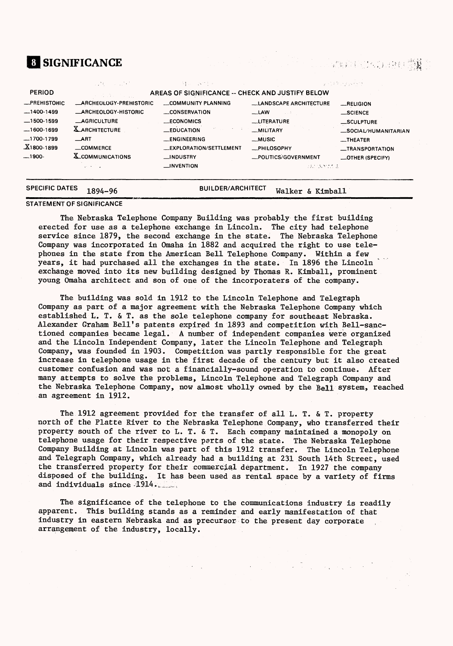# **SIGNIFICANCE**

|                                                                                                         | しょりん ハール こうきん                                                                                                                                                                       | 経典の誤文作曲                                                                                                                                                     |                                                                                                                                                         | 医马克氏菌 计子段编码 医生                                                                                                   |
|---------------------------------------------------------------------------------------------------------|-------------------------------------------------------------------------------------------------------------------------------------------------------------------------------------|-------------------------------------------------------------------------------------------------------------------------------------------------------------|---------------------------------------------------------------------------------------------------------------------------------------------------------|------------------------------------------------------------------------------------------------------------------|
| <b>PERIOD</b>                                                                                           |                                                                                                                                                                                     | AREAS OF SIGNIFICANCE -- CHECK AND JUSTIFY BELOW                                                                                                            |                                                                                                                                                         |                                                                                                                  |
| -PREHISTORIC<br>$-1400-1499$<br>$-1500-1599$<br>$-1600-1699$<br>-1700-1799<br>$X$ 1800-1899<br>$-1900-$ | <b>_ARCHEOLOGY-PREHISTORIC</b><br><b>ARCHEOLOGY-HISTORIC</b><br><b>AGRICULTURE</b><br><b>X_ARCHITECTURE</b><br>$\equiv$ ART<br>_COMMERCE<br><b>X_COMMUNICATIONS</b><br>and the con- | COMMUNITY PLANNING<br>CONSERVATION<br><b>ECONOMICS</b><br>$EDUCA$ TION<br><b>LENGINEERING</b><br>__EXPLORATION/SETTLEMENT<br>__INDUSTRY<br>$\Box$ INVENTION | <b>LANDSCAPE ARCHITECTURE</b><br>$-LAW$<br><b>LITERATURE</b><br>-MILITARY<br>$-MUSIC$<br><b>_PHILOSOPHY</b><br>-POLITICS/GOVERNMENT<br>i dan bermuti 2. | RELIGION<br>_SCIENCE<br>_SCULPTURE<br>_SOCIAL/HUMANITARIAN<br>$-$ THEATER<br>_TRANSPORTATION<br>-OTHER (SPECIFY) |
| <b>SPECIFIC DATES</b>                                                                                   | 1894-96                                                                                                                                                                             | <b>BUILDER/ARCHITECT</b>                                                                                                                                    | Walker & Kimball                                                                                                                                        |                                                                                                                  |

### **STATEMENT OF SIGNIFICANCE**

The Nebraska Telephone Company Building was probably the first building erected for use as a telephone exchange in Lincoln. The city had telephone service since 1879, the second exchange in the state. The Nebraska Telephone Company was incorporated in Omaha in 1882 and acquired the right to use telephones in the state from the American Bell Telephone Company. Within a few years, it had purchased all the exchanges in the state. In 1896 the Lincoln exchange moved into its new building designed by Thomas R. Kimball, prominent young Omaha architect and son of one of the incorporaters of the company.

The building was sold in 1912 to the Lincoln Telephone and Telegraph Company as part of a major agreement with the Nebraska Telephone Company which established L. T. & T. as the sole telephone company for southeast Nebraska. Alexander Graham Bell's patents expired in 1893 and competition with Bell-sanctioned companies became legal. A number of independent companies were organized and the Lincoln Independent Company, later the Lincoln Telephone and Telegraph Company, was founded in 1903. Competition was partly responsible for the great increase in telephone usage in the first decade of the century but it also created customer confusion and was not a financially-sound operation to continue. After many attempts to solve the problems, Lincoln Telephone and Telegraph Company and the Nebraska Telephone Company, now almost wholly owned by the Bell system, reached an agreement in 1912.

The 1912 agreement provided for the transfer of all L. T. & T. property north of the Platte River to the Nebraska Telephone Company, who transferred their property south of the river to L. T. & T. Each company maintained a monopoly on telephone usage for their respective parts of the state. The Nebraska Telephone Company Building at Lincoln was part of this 1912 transfer. The Lincoln Telephone and Telegraph Company, which already had a building at 231 South 14th Street, used the transferred property for their commercial department. In 1927 the company disposed of the building. It has been used as rental space by a variety of firms and individuals since 1914.

The significance of the telephone to the communications industry is readily apparent. This building stands as a reminder and early manifestation of that industry in eastern Nebraska and as precursor to the present day corporate arrangement of the industry, locally.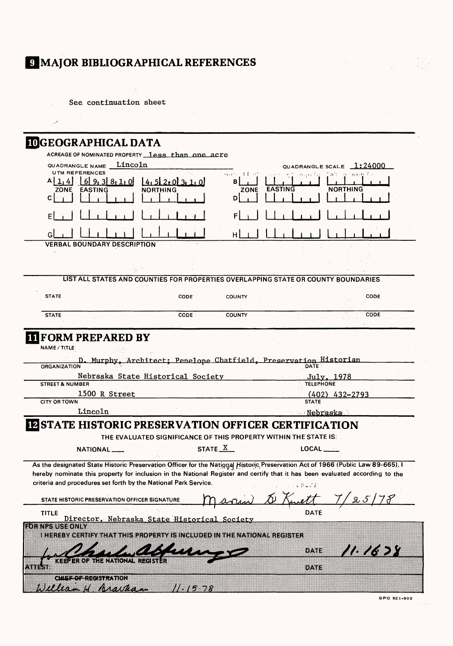# 9 MAJOR BIBLIOGRAPHICAL REFERENCES

| See continuation sheet                                                                                                                                                                                                                                                                                                             |                                   |
|------------------------------------------------------------------------------------------------------------------------------------------------------------------------------------------------------------------------------------------------------------------------------------------------------------------------------------|-----------------------------------|
|                                                                                                                                                                                                                                                                                                                                    |                                   |
|                                                                                                                                                                                                                                                                                                                                    |                                   |
| <b>IDGEOGRAPHICAL DATA</b>                                                                                                                                                                                                                                                                                                         |                                   |
| ACREAGE OF NOMINATED PROPERTY less than one acre                                                                                                                                                                                                                                                                                   |                                   |
| Lincoln<br>QUADRANGLE NAME<br><b>UTM REFERENCES</b>                                                                                                                                                                                                                                                                                | QUADRANGLE SCALE 1:24000          |
| 再解的 手套 親<br>8, 1, 0<br>в                                                                                                                                                                                                                                                                                                           | ਂ ਤ                               |
| <b>EASTING</b><br>ZONE<br><b>NORTHING</b><br>ZONE<br>с<br>D                                                                                                                                                                                                                                                                        | <b>NORTHING</b><br><b>EASTING</b> |
|                                                                                                                                                                                                                                                                                                                                    |                                   |
|                                                                                                                                                                                                                                                                                                                                    |                                   |
| H                                                                                                                                                                                                                                                                                                                                  |                                   |
| <b>VERBAL BOUNDARY DESCRIPTION</b>                                                                                                                                                                                                                                                                                                 |                                   |
|                                                                                                                                                                                                                                                                                                                                    |                                   |
|                                                                                                                                                                                                                                                                                                                                    |                                   |
| LIST ALL STATES AND COUNTIES FOR PROPERTIES OVERLAPPING STATE OR COUNTY BOUNDARIES                                                                                                                                                                                                                                                 |                                   |
| <b>STATE</b><br>CODE.<br><b>COUNTY</b>                                                                                                                                                                                                                                                                                             | <b>CODE</b>                       |
| <b>STATE</b><br><b>CODE</b><br><b>COUNTY</b>                                                                                                                                                                                                                                                                                       | <b>CODE</b>                       |
|                                                                                                                                                                                                                                                                                                                                    |                                   |
| <b>TIFORM PREPARED BY</b><br><b>NAME / TITLE</b><br>Murphy, Architect; Penelope Chatfield, Preservation Historian                                                                                                                                                                                                                  |                                   |
| <b>ORGANIZATION</b><br>Nebraska State Historical Society                                                                                                                                                                                                                                                                           | <u>July, 1978</u>                 |
| <b>STREET &amp; NUMBER</b>                                                                                                                                                                                                                                                                                                         | <b>TELEPHONE</b>                  |
| 1500 R Street<br><b>CITY OR TOWN</b>                                                                                                                                                                                                                                                                                               | $(402)$ 432-2793<br><b>STATE</b>  |
| Lincoln                                                                                                                                                                                                                                                                                                                            | <u> Nebraska Ne</u>               |
| <b>IZSTATE HISTORIC PRESERVATION OFFICER CERTIFICATION</b>                                                                                                                                                                                                                                                                         |                                   |
| THE EVALUATED SIGNIFICANCE OF THIS PROPERTY WITHIN THE STATE IS:                                                                                                                                                                                                                                                                   |                                   |
| STATE X<br>NATIONAL                                                                                                                                                                                                                                                                                                                | LOCAL _____                       |
| As the designated State Historic Preservation Officer for the National Historic Preservation Act of 1966 (Public Law 89-665). I<br>hereby nominate this property for inclusion in the National Register and certify that it has been evaluated according to the<br>criteria and procedures set forth by the National Park Service. | やこされ                              |
| STATE HISTORIC PRESERVATION OFFICER SIGNATURE                                                                                                                                                                                                                                                                                      |                                   |
| <b>TITLE</b><br>Director, Nebraska State Historical Society                                                                                                                                                                                                                                                                        | DATE                              |
| <b>RORNEGUS AONEY</b>                                                                                                                                                                                                                                                                                                              |                                   |
| i inhelby german familie eroberty is ingluded in the vational register                                                                                                                                                                                                                                                             |                                   |
|                                                                                                                                                                                                                                                                                                                                    | I MARIT<br>DATE                   |
|                                                                                                                                                                                                                                                                                                                                    | DATE                              |
| <b>CHEMORGEOSTONION</b><br>William H Braskan<br>11.1578                                                                                                                                                                                                                                                                            |                                   |

**Control Street**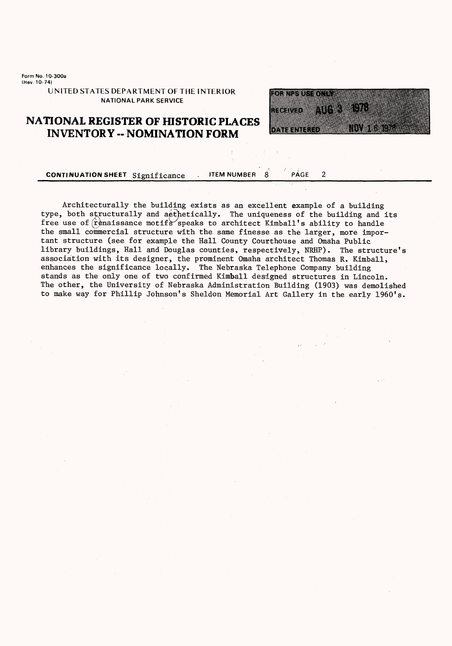**Form No. 10-300a (Kev. 10-74)**

> **UNITED STATES DEPARTMENT OF THE INTERIOR NATIONAL PARK SERVICE**

## **NATIONAL REGISTER OF HISTORIC PLACES INVENTORY - NOMINATION FORM**



 $\overline{2}$ 

### **CONTINUATION SHEET** Significance **PAGE** PAGE

Architecturally the building exists as an excellent example of a building type, both structurally and aethetically. The uniqueness of the building and its free use of  $\hat{r}$  enaissance motifs speaks to architect Kimball's ability to handle the small commercial structure with the same finesse as the larger, more important structure (see for example the Hall County Courthouse and Omaha Public library buildings, Hall and Douglas counties, respectively, NRHP). The structure's association with its designer, the prominent Omaha architect Thomas R. Kimball, enhances the significance locally. The Nebraska Telephone Company building stands as the only one of two confirmed Kimball designed structures in Lincoln. The other, the University of Nebraska Administration Building (1903) was demolished to make way for Phillip Johnson's Sheldon Memorial Art Gallery in the early 1960's.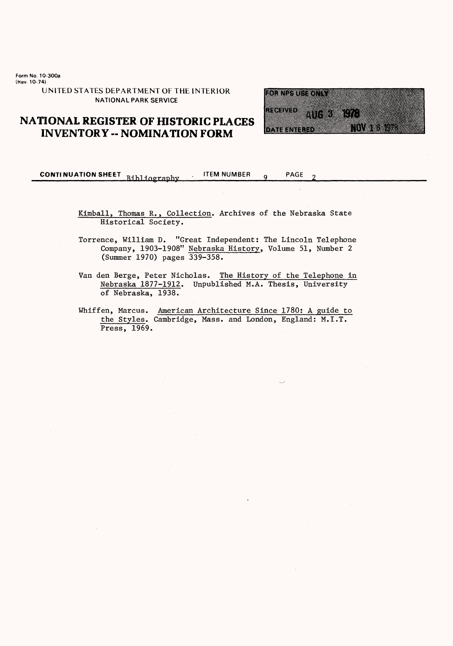**Form No. 10-300a (Kev. 10-74)**

> **UNITED STATES DEPARTMENT OF THE INTERIOR NATIONAL PARK SERVICE**

## **NATIONAL REGISTER OF HISTORIC PLACES INVENTORY - NOMINATION FORM**

**CONTINUATION SHEET** Bibliography ITEM NUMBER 9 PAGE

Kimball, Thomas R., Collection. Archives of the Nebraska State Historical Society.

Torrence, William D. "Great Independent: The Lincoln Telephone Company, 1903-1908" Nebraska History, Volume 51, Number 2 (Summer 1970) pages 339-358.

Van den Berge, Peter Nicholas. The History of the Telephone in Nebraska 1877-1912. Unpublished M.A. Thesis, University of Nebraska, 1938.

Whiffen, Marcus. American Architecture Since 1780; A guide to the Styles. Cambridge, Mass, and London, England: M.I.T. Press, 1969.

FOR NPS USE ONLY RECEIVED 406 3 1978 NOV 1 6 1978 DATE ENTERED